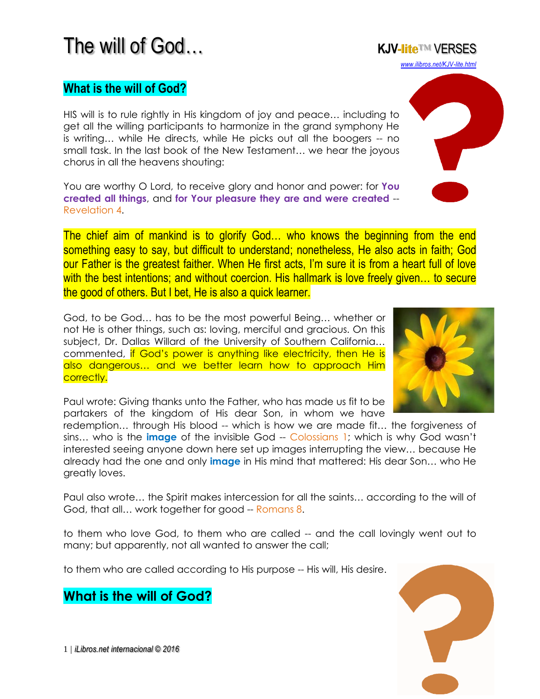# The will of God… **KJV-lite**™ VERSES

#### **What is the will of God?**

HIS will is to rule rightly in His kingdom of joy and peace… including to get all the willing participants to harmonize in the grand symphony He is writing… while He directs, while He picks out all the boogers -- no small task. In the last book of the New Testament… we hear the joyous chorus in all the heavens shouting:

You are worthy O Lord, to receive glory and honor and power: for **You created all things**, and **for Your pleasure they are and were created** -- Revelation 4.

The chief aim of mankind is to glorify God… who knows the beginning from the end something easy to say, but difficult to understand; nonetheless, He also acts in faith; God our Father is the greatest faither. When He first acts, I'm sure it is from a heart full of love with the best intentions; and without coercion. His hallmark is love freely given... to secure the good of others. But I bet, He is also a quick learner.

God, to be God… has to be the most powerful Being… whether or not He is other things, such as: loving, merciful and gracious. On this subject, Dr. Dallas Willard of the University of Southern California… commented, if God's power is anything like electricity, then He is also dangerous… and we better learn how to approach Him correctly.

Paul wrote: Giving thanks unto the Father, who has made us fit to be partakers of the kingdom of His dear Son, in whom we have

redemption... through His blood -- which is how we are made fit... the forgiveness of sins… who is the **image** of the invisible God -- Colossians 1; which is why God wasn't interested seeing anyone down here set up images interrupting the view… because He already had the one and only **image** in His mind that mattered: His dear Son… who He greatly loves.

Paul also wrote… the Spirit makes intercession for all the saints… according to the will of God, that all... work together for good -- Romans 8.

to them who love God, to them who are called -- and the call lovingly went out to many; but apparently, not all wanted to answer the call;

to them who are called according to His purpose -- His will, His desire.

#### **What is the will of God?**





*[www.ilibros.net/KJV-lite.html](http://www.ilibros.net/KJV-lite.html)*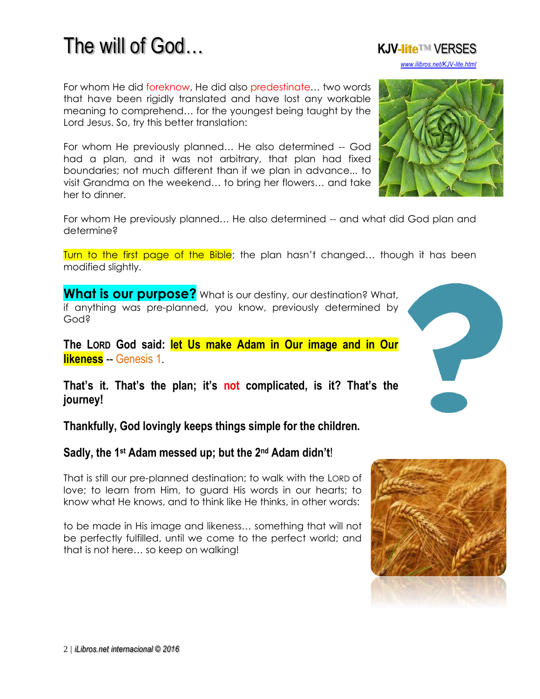### For whom He did foreknow, He did also predestinate… two words

that have been rigidly translated and have lost any workable meaning to comprehend… for the youngest being taught by the Lord Jesus. So, try this better translation:

For whom He previously planned… He also determined -- God had a plan, and it was not arbitrary, that plan had fixed boundaries; not much different than if we plan in advance... to visit Grandma on the weekend… to bring her flowers… and take her to dinner.

For whom He previously planned… He also determined -- and what did God plan and determine?

Turn to the first page of the Bible; the plan hasn't changed... though it has been modified slightly.

**What is our purpose?** What is our destiny, our destination? What, if anything was pre-planned, you know, previously determined by God?

**The LORD God said: let Us make Adam in Our image and in Our likeness** -- Genesis 1.

**That's it. That's the plan; it's not complicated, is it? That's the journey!**

**Thankfully, God lovingly keeps things simple for the children.** 

#### **Sadly, the 1st Adam messed up; but the 2nd Adam didn't**!

That is still our pre-planned destination; to walk with the LORD of love; to learn from Him, to guard His words in our hearts; to know what He knows, and to think like He thinks, in other words:

to be made in His image and likeness… something that will not be perfectly fulfilled, until we come to the perfect world; and that is not here… so keep on walking!